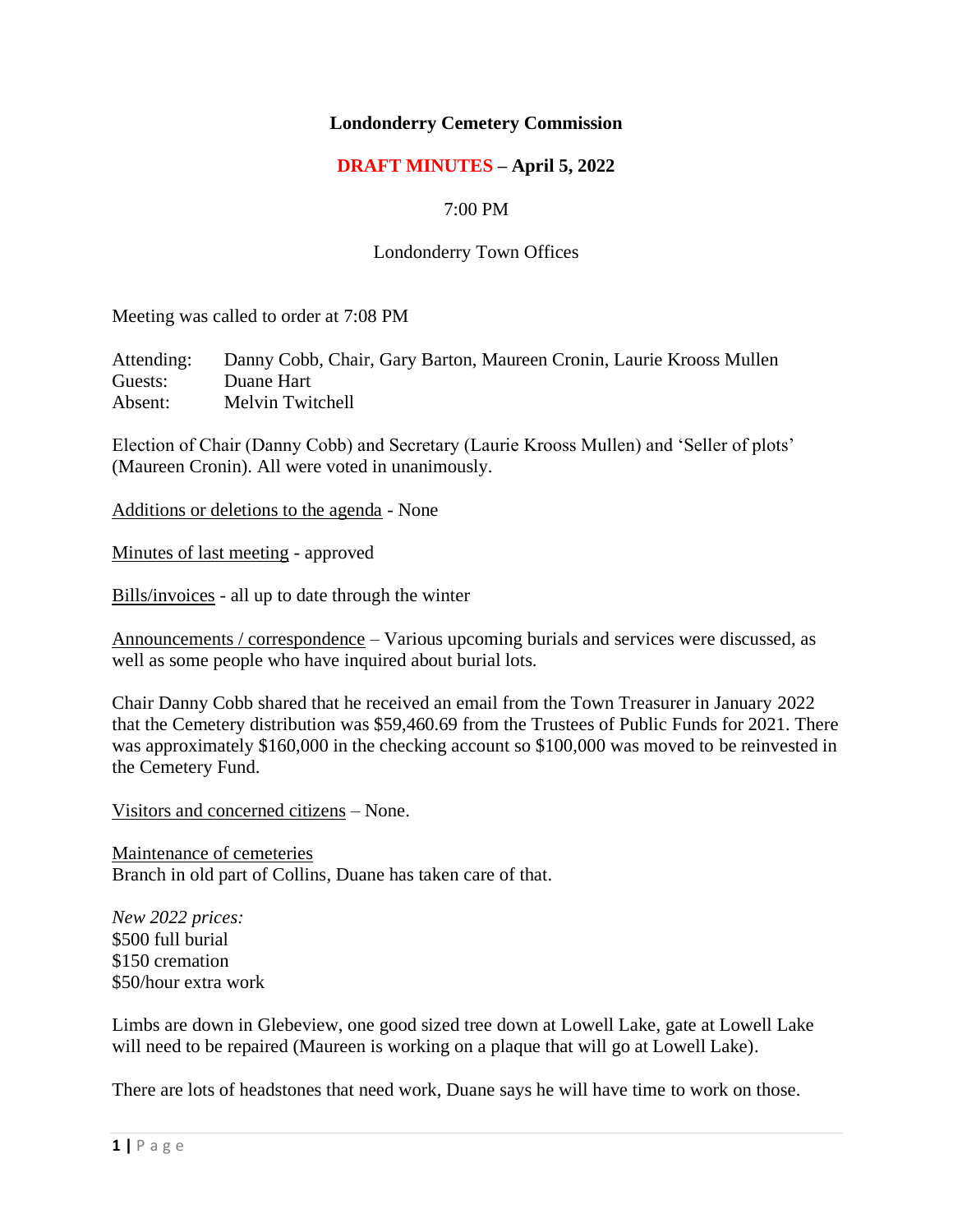## **Londonderry Cemetery Commission**

## **DRAFT MINUTES – April 5, 2022**

### 7:00 PM

#### Londonderry Town Offices

Meeting was called to order at 7:08 PM

Attending: Danny Cobb, Chair, Gary Barton, Maureen Cronin, Laurie Krooss Mullen Guests: Duane Hart Absent: Melvin Twitchell

Election of Chair (Danny Cobb) and Secretary (Laurie Krooss Mullen) and 'Seller of plots' (Maureen Cronin). All were voted in unanimously.

Additions or deletions to the agenda - None

Minutes of last meeting - approved

Bills/invoices - all up to date through the winter

Announcements / correspondence – Various upcoming burials and services were discussed, as well as some people who have inquired about burial lots.

Chair Danny Cobb shared that he received an email from the Town Treasurer in January 2022 that the Cemetery distribution was \$59,460.69 from the Trustees of Public Funds for 2021. There was approximately \$160,000 in the checking account so \$100,000 was moved to be reinvested in the Cemetery Fund.

Visitors and concerned citizens – None.

Maintenance of cemeteries Branch in old part of Collins, Duane has taken care of that.

*New 2022 prices:* \$500 full burial \$150 cremation \$50/hour extra work

Limbs are down in Glebeview, one good sized tree down at Lowell Lake, gate at Lowell Lake will need to be repaired (Maureen is working on a plaque that will go at Lowell Lake).

There are lots of headstones that need work, Duane says he will have time to work on those.